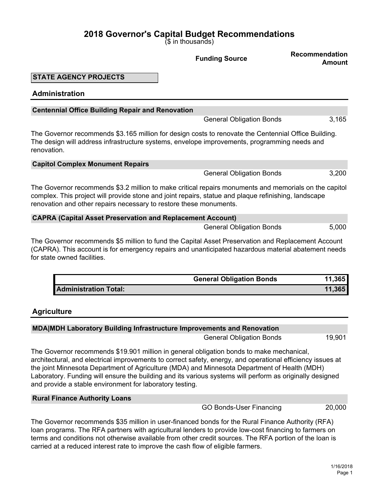(\$ in thousands)

# **Funding Source Recommendation Amount STATE AGENCY PROJECTS Administration Centennial Office Building Repair and Renovation** General Obligation Bonds 3,165 The Governor recommends \$3.165 million for design costs to renovate the Centennial Office Building. The design will address infrastructure systems, envelope improvements, programming needs and renovation. **Capitol Complex Monument Repairs** General Obligation Bonds 3,200 The Governor recommends \$3.2 million to make critical repairs monuments and memorials on the capitol complex. This project will provide stone and joint repairs, statue and plaque refinishing, landscape renovation and other repairs necessary to restore these monuments. **CAPRA (Capital Asset Preservation and Replacement Account)** General Obligation Bonds 5,000 The Governor recommends \$5 million to fund the Capital Asset Preservation and Replacement Account (CAPRA). This account is for emergency repairs and unanticipated hazardous material abatement needs for state owned facilities. **General Obligation Bonds 11,365 Administration Total: 11,365 Agriculture**

## **MDA|MDH Laboratory Building Infrastructure Improvements and Renovation** General Obligation Bonds 19,901 The Governor recommends \$19.901 million in general obligation bonds to make mechanical,

architectural, and electrical improvements to correct safety, energy, and operational efficiency issues at the joint Minnesota Department of Agriculture (MDA) and Minnesota Department of Health (MDH) Laboratory. Funding will ensure the building and its various systems will perform as originally designed and provide a stable environment for laboratory testing.

## **Rural Finance Authority Loans**

GO Bonds-User Financing 20,000

The Governor recommends \$35 million in user-financed bonds for the Rural Finance Authority (RFA) loan programs. The RFA partners with agricultural lenders to provide low-cost financing to farmers on terms and conditions not otherwise available from other credit sources. The RFA portion of the loan is carried at a reduced interest rate to improve the cash flow of eligible farmers.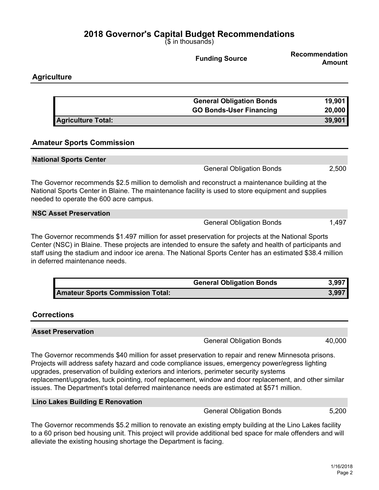(\$ in thousands)

|                                                                                                                                                                                                                                                                                                                                                             | <b>Funding Source</b>           | <b>Recommendation</b><br><b>Amount</b> |
|-------------------------------------------------------------------------------------------------------------------------------------------------------------------------------------------------------------------------------------------------------------------------------------------------------------------------------------------------------------|---------------------------------|----------------------------------------|
| <b>Agriculture</b>                                                                                                                                                                                                                                                                                                                                          |                                 |                                        |
|                                                                                                                                                                                                                                                                                                                                                             |                                 |                                        |
|                                                                                                                                                                                                                                                                                                                                                             | <b>General Obligation Bonds</b> | 19,901                                 |
|                                                                                                                                                                                                                                                                                                                                                             | <b>GO Bonds-User Financing</b>  | 20,000                                 |
| <b>Agriculture Total:</b>                                                                                                                                                                                                                                                                                                                                   |                                 | 39,901                                 |
| <b>Amateur Sports Commission</b>                                                                                                                                                                                                                                                                                                                            |                                 |                                        |
| <b>National Sports Center</b>                                                                                                                                                                                                                                                                                                                               |                                 |                                        |
|                                                                                                                                                                                                                                                                                                                                                             | <b>General Obligation Bonds</b> | 2,500                                  |
| The Governor recommends \$2.5 million to demolish and reconstruct a maintenance building at the<br>National Sports Center in Blaine. The maintenance facility is used to store equipment and supplies<br>needed to operate the 600 acre campus.                                                                                                             |                                 |                                        |
| <b>NSC Asset Preservation</b>                                                                                                                                                                                                                                                                                                                               |                                 |                                        |
|                                                                                                                                                                                                                                                                                                                                                             | <b>General Obligation Bonds</b> | 1,497                                  |
| The Governor recommends \$1.497 million for asset preservation for projects at the National Sports<br>Center (NSC) in Blaine. These projects are intended to ensure the safety and health of participants and<br>staff using the stadium and indoor ice arena. The National Sports Center has an estimated \$38.4 million<br>in deferred maintenance needs. |                                 |                                        |

|                                  | <b>General Obligation Bonds</b> | 3,997 |
|----------------------------------|---------------------------------|-------|
| Amateur Sports Commission Total: |                                 | 3,997 |

## **Corrections**

| <b>Asset Preservation</b>                                                                                                                                                                             |        |
|-------------------------------------------------------------------------------------------------------------------------------------------------------------------------------------------------------|--------|
| <b>General Obligation Bonds</b>                                                                                                                                                                       | 40,000 |
| The Governor recommends \$40 million for asset preservation to repair and renew Minnesota prisons.<br>Projects will address safety hazard and code compliance issues, emergency power/egress lighting |        |

upgrades, preservation of building exteriors and interiors, perimeter security systems replacement/upgrades, tuck pointing, roof replacement, window and door replacement, and other similar issues. The Department's total deferred maintenance needs are estimated at \$571 million.

#### **Lino Lakes Building E Renovation**

General Obligation Bonds 5,200

The Governor recommends \$5.2 million to renovate an existing empty building at the Lino Lakes facility to a 60 prison bed housing unit. This project will provide additional bed space for male offenders and will alleviate the existing housing shortage the Department is facing.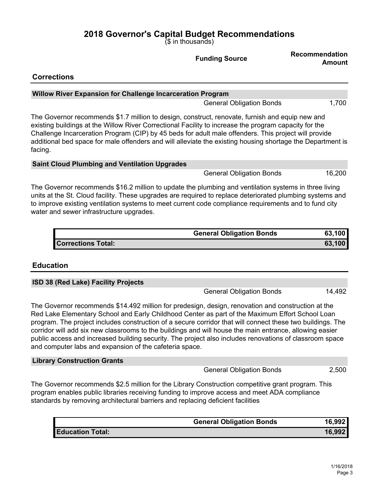(\$ in thousands)

|                                                                                                                                                                                                                                                                                                                                                                                                                                           | <b>Funding Source</b>           | <b>Recommendation</b><br><b>Amount</b> |
|-------------------------------------------------------------------------------------------------------------------------------------------------------------------------------------------------------------------------------------------------------------------------------------------------------------------------------------------------------------------------------------------------------------------------------------------|---------------------------------|----------------------------------------|
| <b>Corrections</b>                                                                                                                                                                                                                                                                                                                                                                                                                        |                                 |                                        |
| <b>Willow River Expansion for Challenge Incarceration Program</b>                                                                                                                                                                                                                                                                                                                                                                         |                                 |                                        |
|                                                                                                                                                                                                                                                                                                                                                                                                                                           | <b>General Obligation Bonds</b> | 1,700                                  |
| The Governor recommends \$1.7 million to design, construct, renovate, furnish and equip new and<br>existing buildings at the Willow River Correctional Facility to increase the program capacity for the<br>Challenge Incarceration Program (CIP) by 45 beds for adult male offenders. This project will provide<br>additional bed space for male offenders and will alleviate the existing housing shortage the Department is<br>facing. |                                 |                                        |
| <b>Saint Cloud Plumbing and Ventilation Upgrades</b>                                                                                                                                                                                                                                                                                                                                                                                      |                                 |                                        |
|                                                                                                                                                                                                                                                                                                                                                                                                                                           | <b>General Obligation Bonds</b> | 16,200                                 |
| The Governor recommends \$16.2 million to update the plumbing and ventilation systems in three living<br>units at the St. Cloud facility. These upgrades are required to replace deteriorated plumbing systems and<br>to improve existing ventilation systems to meet current code compliance requirements and to fund city<br>water and sewer infrastructure upgrades.                                                                   |                                 |                                        |
|                                                                                                                                                                                                                                                                                                                                                                                                                                           | <b>General Obligation Bonds</b> | 63,100                                 |
| <b>Corrections Total:</b>                                                                                                                                                                                                                                                                                                                                                                                                                 |                                 | 63,100                                 |
| <b>Education</b>                                                                                                                                                                                                                                                                                                                                                                                                                          |                                 |                                        |
| ISD 38 (Red Lake) Facility Projects                                                                                                                                                                                                                                                                                                                                                                                                       |                                 |                                        |

General Obligation Bonds 14,492 The Governor recommends \$14.492 million for predesign, design, renovation and construction at the Red Lake Elementary School and Early Childhood Center as part of the Maximum Effort School Loan program. The project includes construction of a secure corridor that will connect these two buildings. The corridor will add six new classrooms to the buildings and will house the main entrance, allowing easier public access and increased building security. The project also includes renovations of classroom space

| <b>Library Construction Grants</b> |                                 |       |
|------------------------------------|---------------------------------|-------|
|                                    | <b>General Obligation Bonds</b> | 2,500 |

The Governor recommends \$2.5 million for the Library Construction competitive grant program. This program enables public libraries receiving funding to improve access and meet ADA compliance standards by removing architectural barriers and replacing deficient facilities

and computer labs and expansion of the cafeteria space.

|                         | <b>General Obligation Bonds</b> | 16,992 |
|-------------------------|---------------------------------|--------|
| <b>Education Total:</b> |                                 | 16,992 |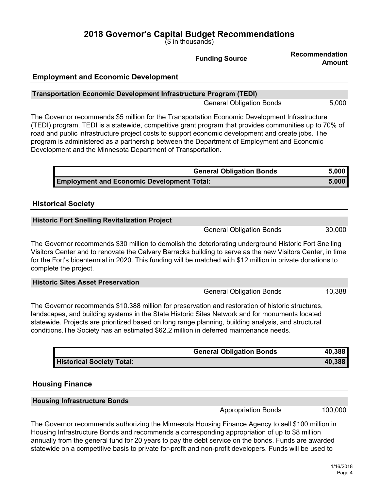(\$ in thousands)

|                                                                                                                                                                                                                                                                                                                                                                                                                                                                           | <b>Funding Source</b>           | <b>Recommendation</b><br><b>Amount</b> |
|---------------------------------------------------------------------------------------------------------------------------------------------------------------------------------------------------------------------------------------------------------------------------------------------------------------------------------------------------------------------------------------------------------------------------------------------------------------------------|---------------------------------|----------------------------------------|
| <b>Employment and Economic Development</b>                                                                                                                                                                                                                                                                                                                                                                                                                                |                                 |                                        |
| <b>Transportation Economic Development Infrastructure Program (TEDI)</b>                                                                                                                                                                                                                                                                                                                                                                                                  |                                 |                                        |
|                                                                                                                                                                                                                                                                                                                                                                                                                                                                           | <b>General Obligation Bonds</b> | 5,000                                  |
| The Governor recommends \$5 million for the Transportation Economic Development Infrastructure<br>(TEDI) program. TEDI is a statewide, competitive grant program that provides communities up to 70% of<br>road and public infrastructure project costs to support economic development and create jobs. The<br>program is administered as a partnership between the Department of Employment and Economic<br>Development and the Minnesota Department of Transportation. |                                 |                                        |
|                                                                                                                                                                                                                                                                                                                                                                                                                                                                           | <b>General Obligation Bonds</b> | 5,000                                  |
| <b>Employment and Economic Development Total:</b>                                                                                                                                                                                                                                                                                                                                                                                                                         |                                 | 5,000                                  |
| <b>Historical Society</b>                                                                                                                                                                                                                                                                                                                                                                                                                                                 |                                 |                                        |
| <b>Historic Fort Snelling Revitalization Project</b>                                                                                                                                                                                                                                                                                                                                                                                                                      |                                 |                                        |
|                                                                                                                                                                                                                                                                                                                                                                                                                                                                           | <b>General Obligation Bonds</b> | 30,000                                 |
| The Governor recommends \$30 million to demolish the deteriorating underground Historic Fort Snelling<br>Visitors Center and to renovate the Calvary Barracks building to serve as the new Visitors Center, in time<br>for the Fort's bicentennial in 2020. This funding will be matched with \$12 million in private donations to<br>complete the project.                                                                                                               |                                 |                                        |
| <b>Historic Sites Asset Preservation</b>                                                                                                                                                                                                                                                                                                                                                                                                                                  |                                 |                                        |
|                                                                                                                                                                                                                                                                                                                                                                                                                                                                           | <b>General Obligation Bonds</b> | 10,388                                 |

The Governor recommends \$10.388 million for preservation and restoration of historic structures, landscapes, and building systems in the State Historic Sites Network and for monuments located statewide. Projects are prioritized based on long range planning, building analysis, and structural conditions.The Society has an estimated \$62.2 million in deferred maintenance needs.

|                                  | <b>General Obligation Bonds</b> | 40.388 |
|----------------------------------|---------------------------------|--------|
| <b>Historical Society Total:</b> |                                 | 40.388 |

## **Housing Finance**

#### **Housing Infrastructure Bonds**

Appropriation Bonds 100,000

The Governor recommends authorizing the Minnesota Housing Finance Agency to sell \$100 million in Housing Infrastructure Bonds and recommends a corresponding appropriation of up to \$8 million annually from the general fund for 20 years to pay the debt service on the bonds. Funds are awarded statewide on a competitive basis to private for-profit and non-profit developers. Funds will be used to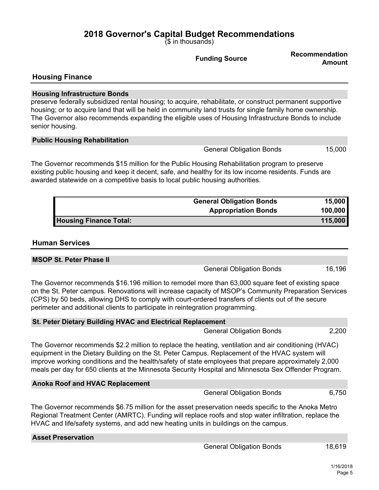(\$ in thousands)

**Funding Source Recommendation Amount Housing Finance Housing Infrastructure Bonds** preserve federally subsidized rental housing; to acquire, rehabilitate, or construct permanent supportive housing; or to acquire land that will be held in community land trusts for single family home ownership. The Governor also recommends expanding the eligible uses of Housing Infrastructure Bonds to include senior housing. **Public Housing Rehabilitation**

The Governor recommends \$15 million for the Public Housing Rehabilitation program to preserve existing public housing and keep it decent, safe, and healthy for its low income residents. Funds are awarded statewide on a competitive basis to local public housing authorities.

|                               | <b>General Obligation Bonds</b> | 15,000  |
|-------------------------------|---------------------------------|---------|
|                               | <b>Appropriation Bonds</b>      | 100,000 |
| <b>Housing Finance Total:</b> |                                 | 115,000 |

## **Human Services**

**MSOP St. Peter Phase II**

|                                                                                                                                                                                                                                                                                                                                                                                                   | <b>General Obligation Bonds</b> | 16,196 |
|---------------------------------------------------------------------------------------------------------------------------------------------------------------------------------------------------------------------------------------------------------------------------------------------------------------------------------------------------------------------------------------------------|---------------------------------|--------|
| The Governor recommends \$16.196 million to remodel more than 63,000 square feet of existing space<br>on the St. Peter campus. Renovations will increase capacity of MSOP's Community Preparation Services<br>(CPS) by 50 beds, allowing DHS to comply with court-ordered transfers of clients out of the secure<br>perimeter and additional clients to participate in reintegration programming. |                                 |        |

**St. Peter Dietary Building HVAC and Electrical Replacement** General Obligation Bonds 2,200 The Governor recommends \$2.2 million to replace the heating, ventilation and air conditioning (HVAC) equipment in the Dietary Building on the St. Peter Campus. Replacement of the HVAC system will improve working conditions and the health/safety of state employees that prepare approximately 2,000

meals per day for 650 clients at the Minnesota Security Hospital and Minnesota Sex Offender Program.

| <b>Anoka Roof and HVAC Replacement</b>                                                                                                                                                                                                                                                               |                                 |       |
|------------------------------------------------------------------------------------------------------------------------------------------------------------------------------------------------------------------------------------------------------------------------------------------------------|---------------------------------|-------|
|                                                                                                                                                                                                                                                                                                      | <b>General Obligation Bonds</b> | 6,750 |
| The Governor recommends \$6.75 million for the asset preservation needs specific to the Anoka Metro<br>Regional Treatment Center (AMRTC). Funding will replace roofs and stop water infiltration, replace the<br>HVAC and life/safety systems, and add new heating units in buildings on the campus. |                                 |       |
| <b>Asset Preservation</b>                                                                                                                                                                                                                                                                            |                                 |       |

General Obligation Bonds 15,000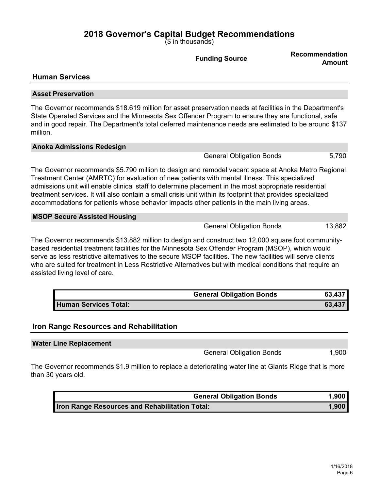(\$ in thousands)

**Funding Source Recommendation Amount Human Services Asset Preservation** The Governor recommends \$18.619 million for asset preservation needs at facilities in the Department's State Operated Services and the Minnesota Sex Offender Program to ensure they are functional, safe and in good repair. The Department's total deferred maintenance needs are estimated to be around \$137 million. **Anoka Admissions Redesign** General Obligation Bonds 5,790 The Governor recommends \$5.790 million to design and remodel vacant space at Anoka Metro Regional Treatment Center (AMRTC) for evaluation of new patients with mental illness. This specialized admissions unit will enable clinical staff to determine placement in the most appropriate residential treatment services. It will also contain a small crisis unit within its footprint that provides specialized accommodations for patients whose behavior impacts other patients in the main living areas. **MSOP Secure Assisted Housing** General Obligation Bonds 13,882 The Governor recommends \$13.882 million to design and construct two 12,000 square foot communitybased residential treatment facilities for the Minnesota Sex Offender Program (MSOP), which would serve as less restrictive alternatives to the secure MSOP facilities. The new facilities will serve clients who are suited for treatment in Less Restrictive Alternatives but with medical conditions that require an assisted living level of care. **General Obligation Bonds 63,437 Human Services Total: 63,437**

## **Iron Range Resources and Rehabilitation**

**Water Line Replacement**

General Obligation Bonds 1,900

The Governor recommends \$1.9 million to replace a deteriorating water line at Giants Ridge that is more than 30 years old.

| <b>General Obligation Bonds</b>                       | 1,900 |
|-------------------------------------------------------|-------|
| <b>Iron Range Resources and Rehabilitation Total:</b> | 1,900 |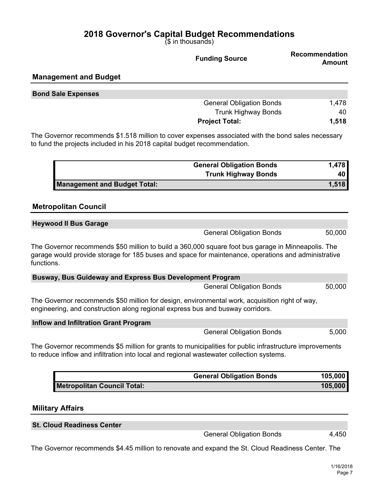(\$ in thousands)

|                                                                                                                                                                                | <b>Funding Source</b>           | <b>Recommendation</b><br><b>Amount</b> |
|--------------------------------------------------------------------------------------------------------------------------------------------------------------------------------|---------------------------------|----------------------------------------|
| <b>Management and Budget</b>                                                                                                                                                   |                                 |                                        |
| <b>Bond Sale Expenses</b>                                                                                                                                                      |                                 |                                        |
|                                                                                                                                                                                | <b>General Obligation Bonds</b> | 1,478                                  |
|                                                                                                                                                                                | <b>Trunk Highway Bonds</b>      | 40                                     |
|                                                                                                                                                                                | <b>Project Total:</b>           | 1,518                                  |
| The Governor recommends \$1.518 million to cover expenses associated with the bond sales necessary<br>to fund the projects included in his 2018 capital budget recommendation. |                                 |                                        |
|                                                                                                                                                                                | <b>General Obligation Bonds</b> | 1,478                                  |
|                                                                                                                                                                                | <b>Trunk Highway Bonds</b>      | 40                                     |
| <b>Management and Budget Total:</b>                                                                                                                                            |                                 | 1,518                                  |

## **Metropolitan Council**

| <b>Heywood II Bus Garage</b> |                                 |        |
|------------------------------|---------------------------------|--------|
|                              | <b>General Obligation Bonds</b> | 50,000 |

The Governor recommends \$50 million to build a 360,000 square foot bus garage in Minneapolis. The garage would provide storage for 185 buses and space for maintenance, operations and administrative functions.

| Busway, Bus Guideway and Express Bus Development Program                                       |        |
|------------------------------------------------------------------------------------------------|--------|
| <b>General Obligation Bonds</b>                                                                | 50,000 |
| The Governor recommends \$50 million for design, environmental work, acquisition right of way, |        |

engineering, and construction along regional express bus and busway corridors.

**Inflow and Infiltration Grant Program**

General Obligation Bonds 5,000

The Governor recommends \$5 million for grants to municipalities for public infrastructure improvements to reduce inflow and infiltration into local and regional wastewater collection systems.

|                             | <b>General Obligation Bonds</b> | 105,000 |
|-----------------------------|---------------------------------|---------|
| Metropolitan Council Total: |                                 | 105,000 |

## **Military Affairs**

**St. Cloud Readiness Center**

General Obligation Bonds 4,450

The Governor recommends \$4.45 million to renovate and expand the St. Cloud Readiness Center. The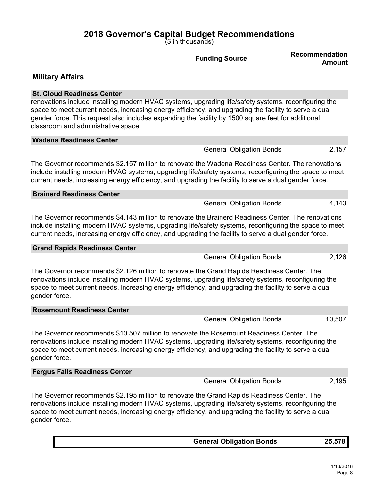(\$ in thousands)

| <b>Recommendation</b><br><b>Funding Source</b><br>Amount                                                                                                                                                                                                                                                                                                                                        |  |
|-------------------------------------------------------------------------------------------------------------------------------------------------------------------------------------------------------------------------------------------------------------------------------------------------------------------------------------------------------------------------------------------------|--|
| <b>Military Affairs</b>                                                                                                                                                                                                                                                                                                                                                                         |  |
| <b>St. Cloud Readiness Center</b><br>renovations include installing modern HVAC systems, upgrading life/safety systems, reconfiguring the<br>space to meet current needs, increasing energy efficiency, and upgrading the facility to serve a dual<br>gender force. This request also includes expanding the facility by 1500 square feet for additional<br>classroom and administrative space. |  |
| <b>Wadena Readiness Center</b>                                                                                                                                                                                                                                                                                                                                                                  |  |
| 2,157<br><b>General Obligation Bonds</b>                                                                                                                                                                                                                                                                                                                                                        |  |
| The Governor recommends \$2.157 million to renovate the Wadena Readiness Center. The renovations<br>include installing modern HVAC systems, upgrading life/safety systems, reconfiguring the space to meet<br>current needs, increasing energy efficiency, and upgrading the facility to serve a dual gender force.                                                                             |  |
| <b>Brainerd Readiness Center</b>                                                                                                                                                                                                                                                                                                                                                                |  |
| 4,143<br><b>General Obligation Bonds</b>                                                                                                                                                                                                                                                                                                                                                        |  |
| The Governor recommends \$4.143 million to renovate the Brainerd Readiness Center. The renovations<br>include installing modern HVAC systems, upgrading life/safety systems, reconfiguring the space to meet<br>current needs, increasing energy efficiency, and upgrading the facility to serve a dual gender force.                                                                           |  |
| <b>Grand Rapids Readiness Center</b>                                                                                                                                                                                                                                                                                                                                                            |  |
| 2,126<br><b>General Obligation Bonds</b>                                                                                                                                                                                                                                                                                                                                                        |  |
| The Governor recommends \$2.126 million to renovate the Grand Rapids Readiness Center. The<br>renovations include installing modern HVAC systems, upgrading life/safety systems, reconfiguring the<br>space to meet current needs, increasing energy efficiency, and upgrading the facility to serve a dual<br>gender force.                                                                    |  |
| <b>Rosemount Readiness Center</b>                                                                                                                                                                                                                                                                                                                                                               |  |
| 10,507<br><b>General Obligation Bonds</b>                                                                                                                                                                                                                                                                                                                                                       |  |
| The Governor recommends \$10.507 million to renovate the Rosemount Readiness Center. The<br>renovations include installing modern HVAC systems, upgrading life/safety systems, reconfiguring the<br>space to meet current needs, increasing energy efficiency, and upgrading the facility to serve a dual<br>gender force.                                                                      |  |
| <b>Fergus Falls Readiness Center</b>                                                                                                                                                                                                                                                                                                                                                            |  |
| <b>General Obligation Bonds</b><br>2,195                                                                                                                                                                                                                                                                                                                                                        |  |
| The Governor recommends \$2.195 million to renovate the Grand Rapids Readiness Center. The<br>renovations include installing modern HVAC systems, upgrading life/safety systems, reconfiguring the<br>space to meet current needs, increasing energy efficiency, and upgrading the facility to serve a dual<br>gender force.                                                                    |  |

| <b>General Obligation Bonds</b> |  |
|---------------------------------|--|
|                                 |  |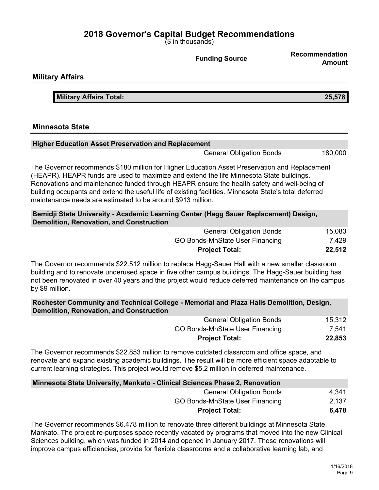(\$ in thousands)

**Military Affairs Military Affairs Total: 25,578 Minnesota State Higher Education Asset Preservation and Replacement** General Obligation Bonds 180,000 The Governor recommends \$180 million for Higher Education Asset Preservation and Replacement (HEAPR). HEAPR funds are used to maximize and extend the life Minnesota State buildings. Renovations and maintenance funded through HEAPR ensure the health safety and well-being of building occupants and extend the useful life of existing facilities. Minnesota State's total deferred maintenance needs are estimated to be around \$913 million. **Bemidji State University - Academic Learning Center (Hagg Sauer Replacement) Design, Demolition, Renovation, and Construction** General Obligation Bonds 15,083 GO Bonds-MnState User Financing 7,429 **Project Total: 22,512** The Governor recommends \$22.512 million to replace Hagg-Sauer Hall with a new smaller classroom building and to renovate underused space in five other campus buildings. The Hagg-Sauer building has not been renovated in over 40 years and this project would reduce deferred maintenance on the campus by \$9 million. **Rochester Community and Technical College - Memorial and Plaza Halls Demolition, Design, Demolition, Renovation, and Construction** General Obligation Bonds 15,312

| $50.101$ at $50.19$ at $51.50$  | .      |
|---------------------------------|--------|
| GO Bonds-MnState User Financing | 7,541  |
| <b>Project Total:</b>           | 22,853 |

The Governor recommends \$22.853 million to remove outdated classroom and office space, and renovate and expand existing academic buildings. The result will be more efficient space adaptable to current learning strategies. This project would remove \$5.2 million in deferred maintenance.

| Minnesota State University, Mankato - Clinical Sciences Phase 2, Renovation |       |
|-----------------------------------------------------------------------------|-------|
| <b>General Obligation Bonds</b>                                             | 4.341 |
| GO Bonds-MnState User Financing                                             | 2,137 |
| <b>Project Total:</b>                                                       | 6.478 |

The Governor recommends \$6.478 million to renovate three different buildings at Minnesota State, Mankato. The project re-purposes space recently vacated by programs that moved into the new Clinical Sciences building, which was funded in 2014 and opened in January 2017. These renovations will improve campus efficiencies, provide for flexible classrooms and a collaborative learning lab, and

**Funding Source Recommendation Amount**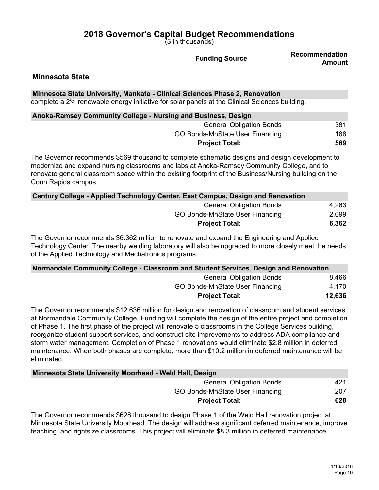(\$ in thousands)

**Funding Source Recommendation Amount**

#### **Minnesota State**

**Minnesota State University, Mankato - Clinical Sciences Phase 2, Renovation** complete a 2% renewable energy initiative for solar panels at the Clinical Sciences building.

| Anoka-Ramsey Community College - Nursing and Business, Design |     |
|---------------------------------------------------------------|-----|
| <b>General Obligation Bonds</b>                               | 381 |
| GO Bonds-MnState User Financing                               | 188 |
| <b>Project Total:</b>                                         | 569 |

The Governor recommends \$569 thousand to complete schematic designs and design development to modernize and expand nursing classrooms and labs at Anoka-Ramsey Community College, and to renovate general classroom space within the existing footprint of the Business/Nursing building on the Coon Rapids campus.

| Century College - Applied Technology Center, East Campus, Design and Renovation |       |
|---------------------------------------------------------------------------------|-------|
| <b>General Obligation Bonds</b>                                                 | 4,263 |
| GO Bonds-MnState User Financing                                                 | 2,099 |
| <b>Project Total:</b>                                                           | 6,362 |

The Governor recommends \$6.362 million to renovate and expand the Engineering and Applied Technology Center. The nearby welding laboratory will also be upgraded to more closely meet the needs of the Applied Technology and Mechatronics programs.

| Normandale Community College - Classroom and Student Services, Design and Renovation |        |
|--------------------------------------------------------------------------------------|--------|
| <b>General Obligation Bonds</b>                                                      | 8,466  |
| GO Bonds-MnState User Financing                                                      | 4.170  |
| <b>Project Total:</b>                                                                | 12,636 |

The Governor recommends \$12.636 million for design and renovation of classroom and student services at Normandale Community College. Funding will complete the design of the entire project and completion of Phase 1. The first phase of the project will renovate 5 classrooms in the College Services building, reorganize student support services, and construct site improvements to address ADA compliance and storm water management. Completion of Phase 1 renovations would eliminate \$2.8 million in deferred maintenance. When both phases are complete, more than \$10.2 million in deferred maintenance will be eliminated.

| Minnesota State University Moorhead - Weld Hall, Design |     |
|---------------------------------------------------------|-----|
| <b>General Obligation Bonds</b>                         | 421 |
| GO Bonds-MnState User Financing                         | 207 |
| <b>Project Total:</b>                                   | 628 |

The Governor recommends \$628 thousand to design Phase 1 of the Weld Hall renovation project at Minnesota State University Moorhead. The design will address significant deferred maintenance, improve teaching, and rightsize classrooms. This project will eliminate \$8.3 million in deferred maintenance.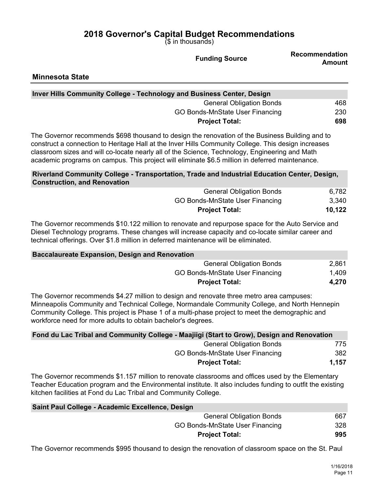(\$ in thousands)

|                                                                                                                                                                                                                                                                                                                                                                                                             | $(\$$ in thousands)                    |                                 |
|-------------------------------------------------------------------------------------------------------------------------------------------------------------------------------------------------------------------------------------------------------------------------------------------------------------------------------------------------------------------------------------------------------------|----------------------------------------|---------------------------------|
|                                                                                                                                                                                                                                                                                                                                                                                                             | <b>Funding Source</b>                  | Recommendation<br><b>Amount</b> |
| <b>Minnesota State</b>                                                                                                                                                                                                                                                                                                                                                                                      |                                        |                                 |
| Inver Hills Community College - Technology and Business Center, Design                                                                                                                                                                                                                                                                                                                                      |                                        |                                 |
|                                                                                                                                                                                                                                                                                                                                                                                                             | <b>General Obligation Bonds</b>        | 468                             |
|                                                                                                                                                                                                                                                                                                                                                                                                             | <b>GO Bonds-MnState User Financing</b> | 230                             |
|                                                                                                                                                                                                                                                                                                                                                                                                             | <b>Project Total:</b>                  | 698                             |
| The Governor recommends \$698 thousand to design the renovation of the Business Building and to<br>construct a connection to Heritage Hall at the Inver Hills Community College. This design increases<br>classroom sizes and will co-locate nearly all of the Science, Technology, Engineering and Math<br>academic programs on campus. This project will eliminate \$6.5 million in deferred maintenance. |                                        |                                 |
| Riverland Community College - Transportation, Trade and Industrial Education Center, Design,<br><b>Construction, and Renovation</b>                                                                                                                                                                                                                                                                         |                                        |                                 |
|                                                                                                                                                                                                                                                                                                                                                                                                             | <b>General Obligation Bonds</b>        | 6,782                           |
|                                                                                                                                                                                                                                                                                                                                                                                                             | <b>GO Bonds-MnState User Financing</b> | 3,340                           |
|                                                                                                                                                                                                                                                                                                                                                                                                             | <b>Project Total:</b>                  | 10,122                          |
| The Governor recommends \$10.122 million to renovate and repurpose space for the Auto Service and<br>Diesel Technology programs. These changes will increase capacity and co-locate similar career and<br>technical offerings. Over \$1.8 million in deferred maintenance will be eliminated.                                                                                                               |                                        |                                 |
| <b>Baccalaureate Expansion, Design and Renovation</b>                                                                                                                                                                                                                                                                                                                                                       |                                        |                                 |
|                                                                                                                                                                                                                                                                                                                                                                                                             | <b>General Obligation Bonds</b>        | 2,861                           |
|                                                                                                                                                                                                                                                                                                                                                                                                             | <b>GO Bonds-MnState User Financing</b> | 1,409                           |
|                                                                                                                                                                                                                                                                                                                                                                                                             | <b>Project Total:</b>                  | 4,270                           |
| The Governor recommends \$4.27 million to design and renovate three metro area campuses:<br>Minneapolis Community and Technical College, Normandale Community College, and North Hennepin<br>Community College. This project is Phase 1 of a multi-phase project to meet the demographic and<br>workforce need for more adults to obtain bachelor's degrees.                                                |                                        |                                 |
| Fond du Lac Tribal and Community College - Maajiigi (Start to Grow), Design and Renovation                                                                                                                                                                                                                                                                                                                  |                                        |                                 |
|                                                                                                                                                                                                                                                                                                                                                                                                             | <b>General Obligation Bonds</b>        | 775                             |
|                                                                                                                                                                                                                                                                                                                                                                                                             | GO Bonds-MnState User Financing        | 382                             |
|                                                                                                                                                                                                                                                                                                                                                                                                             | <b>Project Total:</b>                  | 1,157                           |
|                                                                                                                                                                                                                                                                                                                                                                                                             |                                        |                                 |

The Governor recommends \$1.157 million to renovate classrooms and offices used by the Elementary Teacher Education program and the Environmental institute. It also includes funding to outfit the existing kitchen facilities at Fond du Lac Tribal and Community College.

| Saint Paul College - Academic Excellence, Design |     |
|--------------------------------------------------|-----|
| <b>General Obligation Bonds</b>                  | 667 |
| GO Bonds-MnState User Financing                  | 328 |
| <b>Project Total:</b>                            | 995 |

The Governor recommends \$995 thousand to design the renovation of classroom space on the St. Paul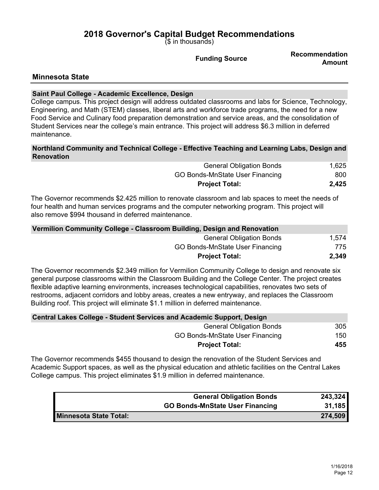(\$ in thousands)

**Funding Source Recommendation Amount**

## **Minnesota State**

## **Saint Paul College - Academic Excellence, Design**

College campus. This project design will address outdated classrooms and labs for Science, Technology, Engineering, and Math (STEM) classes, liberal arts and workforce trade programs, the need for a new Food Service and Culinary food preparation demonstration and service areas, and the consolidation of Student Services near the college's main entrance. This project will address \$6.3 million in deferred maintenance.

## **Northland Community and Technical College - Effective Teaching and Learning Labs, Design and Renovation**

| <b>General Obligation Bonds</b> | 1,625 |
|---------------------------------|-------|
| GO Bonds-MnState User Financing | 800   |
| <b>Project Total:</b>           | 2,425 |

The Governor recommends \$2.425 million to renovate classroom and lab spaces to meet the needs of four health and human services programs and the computer networking program. This project will also remove \$994 thousand in deferred maintenance.

| Vermilion Community College - Classroom Building, Design and Renovation |       |
|-------------------------------------------------------------------------|-------|
| <b>General Obligation Bonds</b>                                         | 1.574 |
| GO Bonds-MnState User Financing                                         | 775   |
| <b>Project Total:</b>                                                   | 2,349 |

The Governor recommends \$2.349 million for Vermilion Community College to design and renovate six general purpose classrooms within the Classroom Building and the College Center. The project creates flexible adaptive learning environments, increases technological capabilities, renovates two sets of restrooms, adjacent corridors and lobby areas, creates a new entryway, and replaces the Classroom Building roof. This project will eliminate \$1.1 million in deferred maintenance.

| <b>Central Lakes College - Student Services and Academic Support, Design</b> |     |
|------------------------------------------------------------------------------|-----|
| <b>General Obligation Bonds</b>                                              | 305 |
| GO Bonds-MnState User Financing                                              | 150 |
| <b>Project Total:</b>                                                        | 455 |

The Governor recommends \$455 thousand to design the renovation of the Student Services and Academic Support spaces, as well as the physical education and athletic facilities on the Central Lakes College campus. This project eliminates \$1.9 million in deferred maintenance.

|                        | <b>General Obligation Bonds</b>        | 243,324 |
|------------------------|----------------------------------------|---------|
|                        | <b>GO Bonds-MnState User Financing</b> | 31,185  |
| Minnesota State Total: |                                        | 274,509 |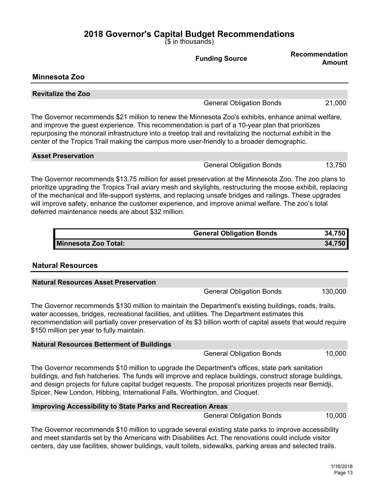$\overline{S}$  in thousands)

|                                                                                                                                                                                                                                                                                                                                                                                                                                                                                           | 19 111 1110000111007            |                                 |
|-------------------------------------------------------------------------------------------------------------------------------------------------------------------------------------------------------------------------------------------------------------------------------------------------------------------------------------------------------------------------------------------------------------------------------------------------------------------------------------------|---------------------------------|---------------------------------|
|                                                                                                                                                                                                                                                                                                                                                                                                                                                                                           | <b>Funding Source</b>           | Recommendation<br><b>Amount</b> |
| <b>Minnesota Zoo</b>                                                                                                                                                                                                                                                                                                                                                                                                                                                                      |                                 |                                 |
| <b>Revitalize the Zoo</b>                                                                                                                                                                                                                                                                                                                                                                                                                                                                 |                                 |                                 |
|                                                                                                                                                                                                                                                                                                                                                                                                                                                                                           | <b>General Obligation Bonds</b> | 21,000                          |
| The Governor recommends \$21 million to renew the Minnesota Zoo's exhibits, enhance animal welfare,<br>and improve the guest experience. This recommendation is part of a 10-year plan that prioritizes<br>repurposing the monorail infrastructure into a treetop trail and revitalizing the nocturnal exhibit in the<br>center of the Tropics Trail making the campus more user-friendly to a broader demographic.                                                                       |                                 |                                 |
| <b>Asset Preservation</b>                                                                                                                                                                                                                                                                                                                                                                                                                                                                 |                                 |                                 |
|                                                                                                                                                                                                                                                                                                                                                                                                                                                                                           | <b>General Obligation Bonds</b> | 13,750                          |
| The Governor recommends \$13.75 million for asset preservation at the Minnesota Zoo. The zoo plans to<br>prioritize upgrading the Tropics Trail aviary mesh and skylights, restructuring the moose exhibit, replacing<br>of the mechanical and life-support systems, and replacing unsafe bridges and railings. These upgrades<br>will improve safety, enhance the customer experience, and improve animal welfare. The zoo's total<br>deferred maintenance needs are about \$32 million. |                                 |                                 |
|                                                                                                                                                                                                                                                                                                                                                                                                                                                                                           | <b>General Obligation Bonds</b> | 34,750                          |
| <b>Minnesota Zoo Total:</b><br><b>Natural Resources</b>                                                                                                                                                                                                                                                                                                                                                                                                                                   |                                 | 34,750                          |
| <b>Natural Resources Asset Preservation</b>                                                                                                                                                                                                                                                                                                                                                                                                                                               |                                 |                                 |
|                                                                                                                                                                                                                                                                                                                                                                                                                                                                                           | <b>General Obligation Bonds</b> | 130,000                         |
| The Governor recommends \$130 million to maintain the Department's existing buildings, roads, trails,<br>water accesses, bridges, recreational facilities, and utilities. The Department estimates this<br>recommendation will partially cover preservation of its \$3 billion worth of capital assets that would require<br>\$150 million per year to fully maintain.                                                                                                                    |                                 |                                 |
| <b>Natural Resources Betterment of Buildings</b>                                                                                                                                                                                                                                                                                                                                                                                                                                          |                                 |                                 |

General Obligation Bonds 10,000

The Governor recommends \$10 million to upgrade the Department's offices, state park sanitation buildings, and fish hatcheries. The funds will improve and replace buildings, construct storage buildings, and design projects for future capital budget requests. The proposal prioritizes projects near Bemidji, Spicer, New London, Hibbing, International Falls, Worthington, and Cloquet.

## **Improving Accessibility to State Parks and Recreation Areas**

General Obligation Bonds 10,000

The Governor recommends \$10 million to upgrade several existing state parks to improve accessibility and meet standards set by the Americans with Disabilities Act. The renovations could include visitor centers, day use facilities, shower buildings, vault toilets, sidewalks, parking areas and selected trails.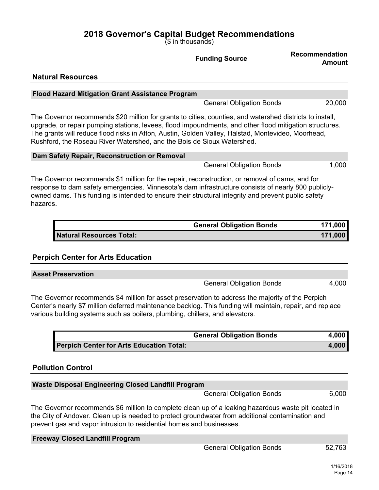(\$ in thousands)

|                                                                                                                                                                                                                                                                                                                                                                                                     | <b>Funding Source</b>           | <b>Recommendation</b><br><b>Amount</b> |
|-----------------------------------------------------------------------------------------------------------------------------------------------------------------------------------------------------------------------------------------------------------------------------------------------------------------------------------------------------------------------------------------------------|---------------------------------|----------------------------------------|
| <b>Natural Resources</b>                                                                                                                                                                                                                                                                                                                                                                            |                                 |                                        |
| <b>Flood Hazard Mitigation Grant Assistance Program</b>                                                                                                                                                                                                                                                                                                                                             |                                 |                                        |
|                                                                                                                                                                                                                                                                                                                                                                                                     | <b>General Obligation Bonds</b> | 20,000                                 |
| The Governor recommends \$20 million for grants to cities, counties, and watershed districts to install,<br>upgrade, or repair pumping stations, levees, flood impoundments, and other flood mitigation structures.<br>The grants will reduce flood risks in Afton, Austin, Golden Valley, Halstad, Montevideo, Moorhead,<br>Rushford, the Roseau River Watershed, and the Bois de Sioux Watershed. |                                 |                                        |
| Dam Safety Repair, Reconstruction or Removal                                                                                                                                                                                                                                                                                                                                                        |                                 |                                        |
|                                                                                                                                                                                                                                                                                                                                                                                                     | <b>General Obligation Bonds</b> | 1,000                                  |
| The Governor recommends \$1 million for the repair, reconstruction, or removal of dams, and for<br>response to dam safety emergencies. Minnesota's dam infrastructure consists of nearly 800 publicly-<br>owned dams. This funding is intended to ensure their structural integrity and prevent public safety<br>hazards.                                                                           |                                 |                                        |
|                                                                                                                                                                                                                                                                                                                                                                                                     | <b>General Obligation Bonds</b> | 171,000                                |
| <b>Natural Resources Total:</b>                                                                                                                                                                                                                                                                                                                                                                     |                                 | 171,000                                |
| <b>Perpich Center for Arts Education</b>                                                                                                                                                                                                                                                                                                                                                            |                                 |                                        |
| <b>Asset Preservation</b>                                                                                                                                                                                                                                                                                                                                                                           |                                 |                                        |
|                                                                                                                                                                                                                                                                                                                                                                                                     | <b>General Obligation Bonds</b> | 4,000                                  |
| The Governor recommends \$4 million for asset preservation to address the majority of the Perpich<br>Center's nearly \$7 million deferred maintenance backlog. This funding will maintain, repair, and replace<br>various building systems such as boilers, plumbing, chillers, and elevators.                                                                                                      |                                 |                                        |

|                                          | <b>General Obligation Bonds</b> | 4,000 |
|------------------------------------------|---------------------------------|-------|
| Perpich Center for Arts Education Total: |                                 | 4,000 |

## **Pollution Control**

## **Waste Disposal Engineering Closed Landfill Program**

General Obligation Bonds 6,000

The Governor recommends \$6 million to complete clean up of a leaking hazardous waste pit located in the City of Andover. Clean up is needed to protect groundwater from additional contamination and prevent gas and vapor intrusion to residential homes and businesses.

| <b>Freeway Closed Landfill Program</b> |                                 |        |
|----------------------------------------|---------------------------------|--------|
|                                        | <b>General Obligation Bonds</b> | 52,763 |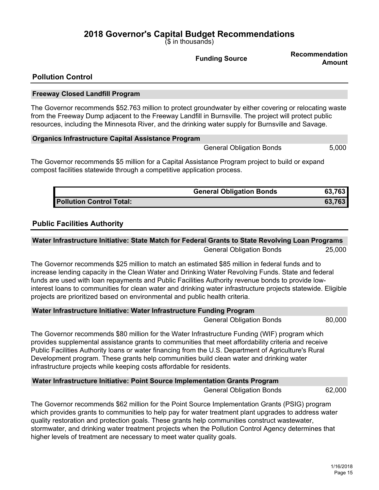(\$ in thousands)

**Funding Source Recommendation Amount**

## **Pollution Control**

#### **Freeway Closed Landfill Program**

The Governor recommends \$52.763 million to protect groundwater by either covering or relocating waste from the Freeway Dump adjacent to the Freeway Landfill in Burnsville. The project will protect public resources, including the Minnesota River, and the drinking water supply for Burnsville and Savage.

#### **Organics Infrastructure Capital Assistance Program**

General Obligation Bonds 5,000

The Governor recommends \$5 million for a Capital Assistance Program project to build or expand compost facilities statewide through a competitive application process.

|                          | <b>General Obligation Bonds</b> | 63,763 |
|--------------------------|---------------------------------|--------|
| Pollution Control Total: |                                 | 63.763 |

## **Public Facilities Authority**

## **Water Infrastructure Initiative: State Match for Federal Grants to State Revolving Loan Programs** General Obligation Bonds 25,000

The Governor recommends \$25 million to match an estimated \$85 million in federal funds and to increase lending capacity in the Clean Water and Drinking Water Revolving Funds. State and federal funds are used with loan repayments and Public Facilities Authority revenue bonds to provide lowinterest loans to communities for clean water and drinking water infrastructure projects statewide. Eligible projects are prioritized based on environmental and public health criteria.

| Water Infrastructure Initiative: Water Infrastructure Funding Program |        |
|-----------------------------------------------------------------------|--------|
| Conoral Obligation Dondo                                              | on nnn |

General Obligation Bonds 80,000

The Governor recommends \$80 million for the Water Infrastructure Funding (WIF) program which provides supplemental assistance grants to communities that meet affordability criteria and receive Public Facilities Authority loans or water financing from the U.S. Department of Agriculture's Rural Development program. These grants help communities build clean water and drinking water infrastructure projects while keeping costs affordable for residents.

## **Water Infrastructure Initiative: Point Source Implementation Grants Program**

General Obligation Bonds 62,000

The Governor recommends \$62 million for the Point Source Implementation Grants (PSIG) program which provides grants to communities to help pay for water treatment plant upgrades to address water quality restoration and protection goals. These grants help communities construct wastewater, stormwater, and drinking water treatment projects when the Pollution Control Agency determines that higher levels of treatment are necessary to meet water quality goals.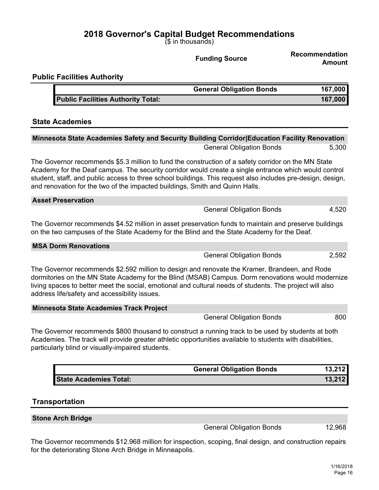(\$ in thousands)

|                                                                                                                                                                                                                                                                                                                                                                                                             | <b>Funding Source</b>           | Recommendation<br>Amount |
|-------------------------------------------------------------------------------------------------------------------------------------------------------------------------------------------------------------------------------------------------------------------------------------------------------------------------------------------------------------------------------------------------------------|---------------------------------|--------------------------|
| <b>Public Facilities Authority</b>                                                                                                                                                                                                                                                                                                                                                                          |                                 |                          |
|                                                                                                                                                                                                                                                                                                                                                                                                             | <b>General Obligation Bonds</b> | 167,000                  |
| <b>Public Facilities Authority Total:</b>                                                                                                                                                                                                                                                                                                                                                                   |                                 | 167,000                  |
| <b>State Academies</b>                                                                                                                                                                                                                                                                                                                                                                                      |                                 |                          |
| <b>Minnesota State Academies Safety and Security Building Corridor Education Facility Renovation</b>                                                                                                                                                                                                                                                                                                        |                                 |                          |
|                                                                                                                                                                                                                                                                                                                                                                                                             | <b>General Obligation Bonds</b> | 5,300                    |
| The Governor recommends \$5.3 million to fund the construction of a safety corridor on the MN State<br>Academy for the Deaf campus. The security corridor would create a single entrance which would control<br>student, staff, and public access to three school buildings. This request also includes pre-design, design,<br>and renovation for the two of the impacted buildings, Smith and Quinn Halls. |                                 |                          |
| <b>Asset Preservation</b>                                                                                                                                                                                                                                                                                                                                                                                   |                                 |                          |
|                                                                                                                                                                                                                                                                                                                                                                                                             | <b>General Obligation Bonds</b> | 4,520                    |
| The Governor recommends \$4.52 million in asset preservation funds to maintain and preserve buildings<br>on the two campuses of the State Academy for the Blind and the State Academy for the Deaf.                                                                                                                                                                                                         |                                 |                          |
| <b>MSA Dorm Renovations</b>                                                                                                                                                                                                                                                                                                                                                                                 |                                 |                          |
|                                                                                                                                                                                                                                                                                                                                                                                                             | <b>General Obligation Bonds</b> | 2,592                    |
| The Governor recommends \$2.592 million to design and renovate the Kramer, Brandeen, and Rode<br>dormitories on the MN State Academy for the Blind (MSAB) Campus. Dorm renovations would modernize<br>living spaces to better meet the social, emotional and cultural needs of students. The project will also<br>address life/safety and accessibility issues.                                             |                                 |                          |
| <b>Minnesota State Academies Track Project</b>                                                                                                                                                                                                                                                                                                                                                              |                                 |                          |
|                                                                                                                                                                                                                                                                                                                                                                                                             | <b>General Obligation Bonds</b> | 800                      |
| The Governor recommends \$800 thousand to construct a running track to be used by students at both<br>Academies. The track will provide greater athletic opportunities available to students with disabilities,<br>particularly blind or visually-impaired students.                                                                                                                                        |                                 |                          |
|                                                                                                                                                                                                                                                                                                                                                                                                             | <b>General Obligation Bonds</b> | 13,212                   |
| <b>State Academies Total:</b>                                                                                                                                                                                                                                                                                                                                                                               |                                 | 13,212                   |
| <b>Transportation</b>                                                                                                                                                                                                                                                                                                                                                                                       |                                 |                          |

**Stone Arch Bridge**

General Obligation Bonds 12,968

The Governor recommends \$12.968 million for inspection, scoping, final design, and construction repairs for the deteriorating Stone Arch Bridge in Minneapolis.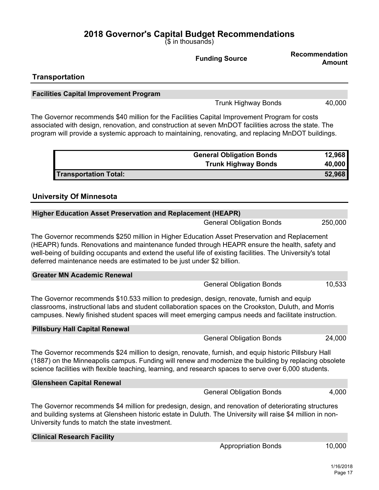(\$ in thousands)

|                                                                                                                                                                                                                                                                                                                                                                                       | <b>Funding Source</b>           | Recommendation<br><b>Amount</b> |
|---------------------------------------------------------------------------------------------------------------------------------------------------------------------------------------------------------------------------------------------------------------------------------------------------------------------------------------------------------------------------------------|---------------------------------|---------------------------------|
| <b>Transportation</b>                                                                                                                                                                                                                                                                                                                                                                 |                                 |                                 |
| <b>Facilities Capital Improvement Program</b>                                                                                                                                                                                                                                                                                                                                         |                                 |                                 |
|                                                                                                                                                                                                                                                                                                                                                                                       | <b>Trunk Highway Bonds</b>      | 40,000                          |
| The Governor recommends \$40 million for the Facilities Capital Improvement Program for costs<br>associated with design, renovation, and construction at seven MnDOT facilities across the state. The<br>program will provide a systemic approach to maintaining, renovating, and replacing MnDOT buildings.                                                                          |                                 |                                 |
|                                                                                                                                                                                                                                                                                                                                                                                       | <b>General Obligation Bonds</b> | 12,968                          |
|                                                                                                                                                                                                                                                                                                                                                                                       | <b>Trunk Highway Bonds</b>      | 40,000                          |
| <b>Transportation Total:</b>                                                                                                                                                                                                                                                                                                                                                          |                                 | 52,968                          |
| <b>University Of Minnesota</b>                                                                                                                                                                                                                                                                                                                                                        |                                 |                                 |
| <b>Higher Education Asset Preservation and Replacement (HEAPR)</b>                                                                                                                                                                                                                                                                                                                    |                                 |                                 |
|                                                                                                                                                                                                                                                                                                                                                                                       | <b>General Obligation Bonds</b> | 250,000                         |
| The Governor recommends \$250 million in Higher Education Asset Preservation and Replacement<br>(HEAPR) funds. Renovations and maintenance funded through HEAPR ensure the health, safety and<br>well-being of building occupants and extend the useful life of existing facilities. The University's total<br>deferred maintenance needs are estimated to be just under \$2 billion. |                                 |                                 |
| <b>Greater MN Academic Renewal</b>                                                                                                                                                                                                                                                                                                                                                    |                                 |                                 |
|                                                                                                                                                                                                                                                                                                                                                                                       | <b>General Obligation Bonds</b> | 10,533                          |
| The Governor recommends \$10.533 million to predesign, design, renovate, furnish and equip<br>classrooms, instructional labs and student collaboration spaces on the Crookston, Duluth, and Morris<br>campuses. Newly finished student spaces will meet emerging campus needs and facilitate instruction.                                                                             |                                 |                                 |
| <b>Pillsbury Hall Capital Renewal</b>                                                                                                                                                                                                                                                                                                                                                 |                                 |                                 |
|                                                                                                                                                                                                                                                                                                                                                                                       | <b>General Obligation Bonds</b> | 24,000                          |
| The Governor recommends \$24 million to design, renovate, furnish, and equip historic Pillsbury Hall<br>(1887) on the Minneapolis campus. Funding will renew and modernize the building by replacing obsolete<br>science facilities with flexible teaching, learning, and research spaces to serve over 6,000 students.                                                               |                                 |                                 |
| <b>Glensheen Capital Renewal</b>                                                                                                                                                                                                                                                                                                                                                      |                                 |                                 |
|                                                                                                                                                                                                                                                                                                                                                                                       | <b>General Obligation Bonds</b> | 4,000                           |
| The Governor recommends \$4 million for predesign, design, and renovation of deteriorating structures<br>and building systems at Glensheen historic estate in Duluth. The University will raise \$4 million in non-<br>University funds to match the state investment.                                                                                                                |                                 |                                 |
| <b>Clinical Research Facility</b>                                                                                                                                                                                                                                                                                                                                                     |                                 |                                 |
|                                                                                                                                                                                                                                                                                                                                                                                       | <b>Appropriation Bonds</b>      | 10,000                          |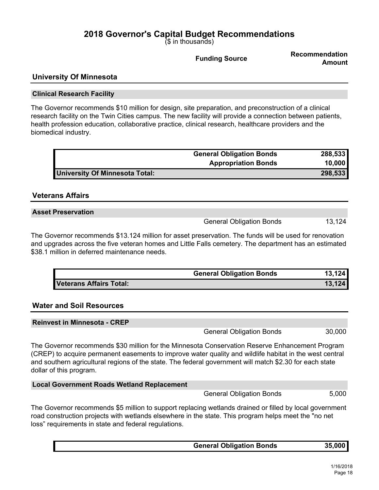(\$ in thousands)

**Funding Source Recommendation Amount**

## **University Of Minnesota**

#### **Clinical Research Facility**

The Governor recommends \$10 million for design, site preparation, and preconstruction of a clinical research facility on the Twin Cities campus. The new facility will provide a connection between patients, health profession education, collaborative practice, clinical research, healthcare providers and the biomedical industry.

|                                | <b>General Obligation Bonds</b> | 288,533 |
|--------------------------------|---------------------------------|---------|
|                                | <b>Appropriation Bonds</b>      | 10,000  |
| University Of Minnesota Total: |                                 | 298,533 |

## **Veterans Affairs**

| <b>Asset Preservation</b> |  |
|---------------------------|--|

General Obligation Bonds 13,124

The Governor recommends \$13.124 million for asset preservation. The funds will be used for renovation and upgrades across the five veteran homes and Little Falls cemetery. The department has an estimated \$38.1 million in deferred maintenance needs.

|                         | <b>General Obligation Bonds</b> | 13,124 |
|-------------------------|---------------------------------|--------|
| Veterans Affairs Total: |                                 | 13,124 |

## **Water and Soil Resources**

| <b>Reinvest in Minnesota - CREP</b> |                                 |        |
|-------------------------------------|---------------------------------|--------|
|                                     | <b>General Obligation Bonds</b> | 30,000 |

The Governor recommends \$30 million for the Minnesota Conservation Reserve Enhancement Program (CREP) to acquire permanent easements to improve water quality and wildlife habitat in the west central and southern agricultural regions of the state. The federal government will match \$2.30 for each state dollar of this program.

| <b>Local Government Roads Wetland Replacement</b>                                                       |                                 |       |
|---------------------------------------------------------------------------------------------------------|---------------------------------|-------|
|                                                                                                         | <b>General Obligation Bonds</b> | 5.000 |
| The Governor recommends \$5 million to support replacing wetlands drained or filled by local government |                                 |       |

The Governor recommends \$5 million to support replacing wetlands drained or filled by local government road construction projects with wetlands elsewhere in the state. This program helps meet the "no net loss" requirements in state and federal regulations.

| <b>General Obligation Bonds</b> | 35,000 |
|---------------------------------|--------|
|                                 |        |